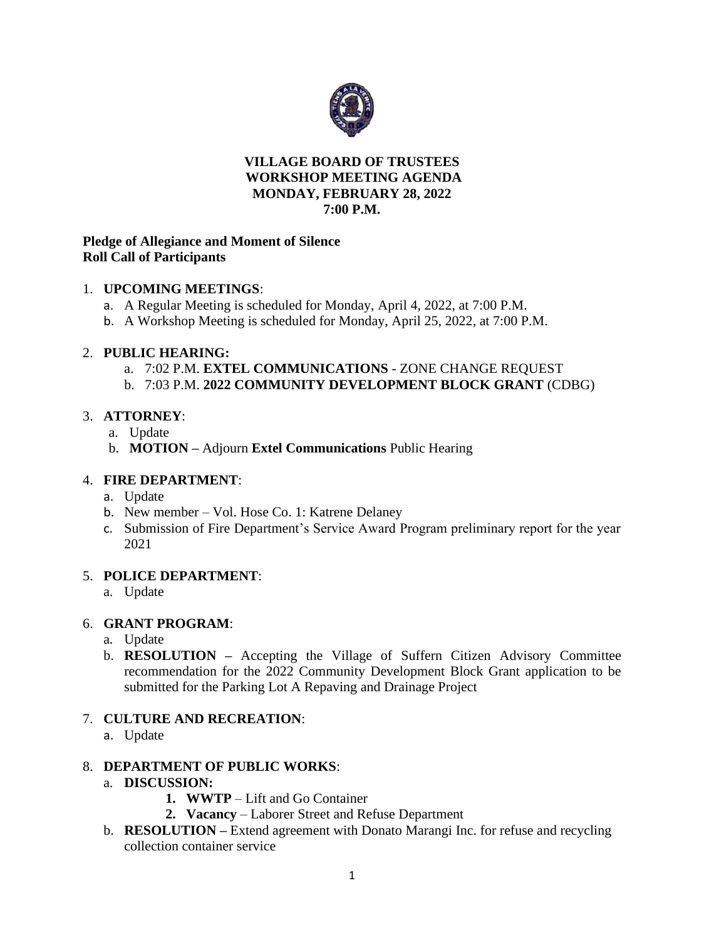

#### **VILLAGE BOARD OF TRUSTEES WORKSHOP MEETING AGENDA MONDAY, FEBRUARY 28, 2022 7:00 P.M.**

### **Pledge of Allegiance and Moment of Silence Roll Call of Participants**

### 1. **UPCOMING MEETINGS**:

- a. A Regular Meeting is scheduled for Monday, April 4, 2022, at 7:00 P.M.
- b. A Workshop Meeting is scheduled for Monday, April 25, 2022, at 7:00 P.M.

#### 2. **PUBLIC HEARING:**

- a. 7:02 P.M. **EXTEL COMMUNICATIONS** ZONE CHANGE REQUEST
- b. 7:03 P.M. **2022 COMMUNITY DEVELOPMENT BLOCK GRANT** (CDBG)

# 3. **ATTORNEY**:

- a. Update
- b. **MOTION –** Adjourn **Extel Communications** Public Hearing

#### 4. **FIRE DEPARTMENT**:

- a. Update
- b. New member Vol. Hose Co. 1: Katrene Delaney
- c. Submission of Fire Department's Service Award Program preliminary report for the year 2021

### 5. **POLICE DEPARTMENT**:

a. Update

# 6. **GRANT PROGRAM**:

- a. Update
- b. **RESOLUTION –** Accepting the Village of Suffern Citizen Advisory Committee recommendation for the 2022 Community Development Block Grant application to be submitted for the Parking Lot A Repaving and Drainage Project

# 7. **CULTURE AND RECREATION**:

a. Update

# 8. **DEPARTMENT OF PUBLIC WORKS**:

- a. **DISCUSSION:**
	- **1. WWTP** Lift and Go Container
	- **2. Vacancy**  Laborer Street and Refuse Department
- b. **RESOLUTION –** Extend agreement with Donato Marangi Inc. for refuse and recycling collection container service